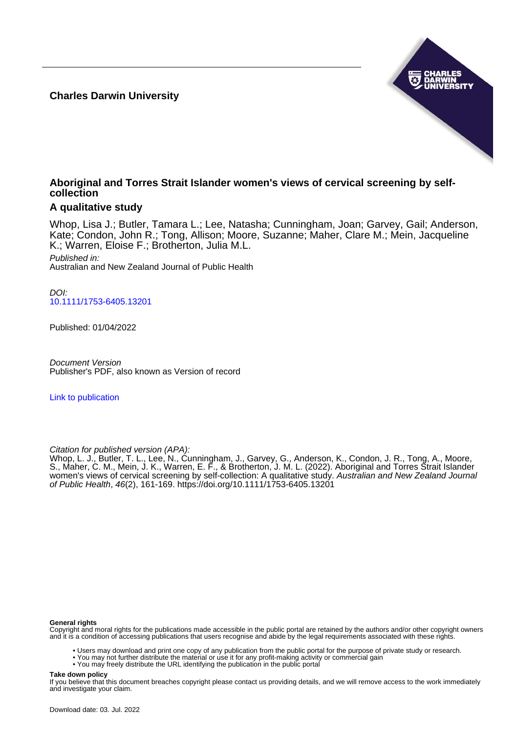**Charles Darwin University**



# **Aboriginal and Torres Strait Islander women's views of cervical screening by selfcollection**

# **A qualitative study**

Whop, Lisa J.; Butler, Tamara L.; Lee, Natasha; Cunningham, Joan; Garvey, Gail; Anderson, Kate; Condon, John R.; Tong, Allison; Moore, Suzanne; Maher, Clare M.; Mein, Jacqueline K.; Warren, Eloise F.; Brotherton, Julia M.L.

Published in: Australian and New Zealand Journal of Public Health

DOI: [10.1111/1753-6405.13201](https://doi.org/10.1111/1753-6405.13201)

Published: 01/04/2022

Document Version Publisher's PDF, also known as Version of record

[Link to publication](https://researchers.cdu.edu.au/en/publications/4dd79fc0-ada4-4d1d-9464-fa9e9cd8d6a1)

Citation for published version (APA):

Whop, L. J., Butler, T. L., Lee, N., Cunningham, J., Garvey, G., Anderson, K., Condon, J. R., Tong, A., Moore, S., Maher, C. M., Mein, J. K., Warren, E. F., & Brotherton, J. M. L. (2022). Aboriginal and Torres Strait Islander women's views of cervical screening by self-collection: A qualitative study. Australian and New Zealand Journal of Public Health, 46(2), 161-169. <https://doi.org/10.1111/1753-6405.13201>

#### **General rights**

Copyright and moral rights for the publications made accessible in the public portal are retained by the authors and/or other copyright owners and it is a condition of accessing publications that users recognise and abide by the legal requirements associated with these rights.

• Users may download and print one copy of any publication from the public portal for the purpose of private study or research.

• You may not further distribute the material or use it for any profit-making activity or commercial gain

• You may freely distribute the URL identifying the publication in the public portal

#### **Take down policy**

If you believe that this document breaches copyright please contact us providing details, and we will remove access to the work immediately and investigate your claim.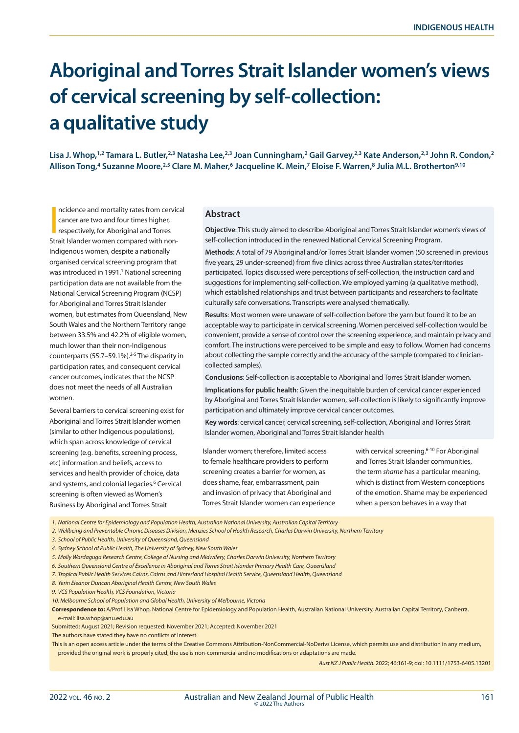# **Aboriginal and Torres Strait Islander women's views of cervical screening by self-collection: a qualitative study**

Lisa J. Whop,<sup>1,2</sup> Tamara L. Butler,<sup>2,3</sup> Natasha Lee,<sup>2,3</sup> Joan Cunningham,<sup>2</sup> Gail Garvey,<sup>2,3</sup> Kate Anderson,<sup>2,3</sup> John R. Condon,<sup>2</sup> Allison Tong,<sup>4</sup> Suzanne Moore,<sup>2,5</sup> Clare M. Maher,<sup>6</sup> Jacqueline K. Mein,<sup>7</sup> Eloise F. Warren,<sup>8</sup> Julia M.L. Brotherton<sup>9,10</sup>

ncidence and mortality rates from cervic<br>cancer are two and four times higher,<br>respectively, for Aboriginal and Torres<br>Strait Islander women compared with nonncidence and mortality rates from cervical cancer are two and four times higher, respectively, for Aboriginal and Torres Indigenous women, despite a nationally organised cervical screening program that was introduced in 1991.<sup>1</sup> National screening participation data are not available from the National Cervical Screening Program (NCSP) for Aboriginal and Torres Strait Islander women, but estimates from Queensland, New South Wales and the Northern Territory range between 33.5% and 42.2% of eligible women, much lower than their non-Indigenous counterparts (55.7–59.1%).<sup>2-5</sup> The disparity in participation rates, and consequent cervical cancer outcomes, indicates that the NCSP does not meet the needs of all Australian women.

Several barriers to cervical screening exist for Aboriginal and Torres Strait Islander women (similar to other Indigenous populations), which span across knowledge of cervical screening (e.g. benefits, screening process, etc) information and beliefs, access to services and health provider of choice, data and systems, and colonial legacies.<sup>6</sup> Cervical screening is often viewed as Women's Business by Aboriginal and Torres Strait

#### **Abstract**

**Objective**: This study aimed to describe Aboriginal and Torres Strait Islander women's views of self-collection introduced in the renewed National Cervical Screening Program.

**Methods**: A total of 79 Aboriginal and/or Torres Strait Islander women (50 screened in previous five years, 29 under-screened) from five clinics across three Australian states/territories participated. Topics discussed were perceptions of self-collection, the instruction card and suggestions for implementing self-collection. We employed yarning (a qualitative method), which established relationships and trust between participants and researchers to facilitate culturally safe conversations. Transcripts were analysed thematically.

**Results**: Most women were unaware of self-collection before the yarn but found it to be an acceptable way to participate in cervical screening. Women perceived self-collection would be convenient, provide a sense of control over the screening experience, and maintain privacy and comfort. The instructions were perceived to be simple and easy to follow. Women had concerns about collecting the sample correctly and the accuracy of the sample (compared to cliniciancollected samples).

**Conclusions**: Self-collection is acceptable to Aboriginal and Torres Strait Islander women.

**Implications for public health**: Given the inequitable burden of cervical cancer experienced by Aboriginal and Torres Strait Islander women, self-collection is likely to significantly improve participation and ultimately improve cervical cancer outcomes.

**Key words**: cervical cancer, cervical screening, self-collection, Aboriginal and Torres Strait Islander women, Aboriginal and Torres Strait Islander health

Islander women; therefore, limited access to female healthcare providers to perform screening creates a barrier for women, as does shame, fear, embarrassment, pain and invasion of privacy that Aboriginal and Torres Strait Islander women can experience

with cervical screening.<sup>6-10</sup> For Aboriginal and Torres Strait Islander communities, the term *shame* has a particular meaning, which is distinct from Western conceptions of the emotion. Shame may be experienced when a person behaves in a way that

*1. National Centre for Epidemiology and Population Health, Australian National University, Australian Capital Territory* 

*2. Wellbeing and Preventable Chronic Diseases Division, Menzies School of Health Research, Charles Darwin University, Northern Territory*

- *3. School of Public Health, University of Queensland, Queensland*
- *4. Sydney School of Public Health, The University of Sydney, New South Wales*

*5. Molly Wardaguga Research Centre, College of Nursing and Midwifery, Charles Darwin University, Northern Territory*

*6. Southern Queensland Centre of Excellence in Aboriginal and Torres Strait Islander Primary Health Care, Queensland* 

*7. Tropical Public Health Services Cairns, Cairns and Hinterland Hospital Health Service, Queensland Health, Queensland*

- *8. Yerin Eleanor Duncan Aboriginal Health Centre, New South Wales*
- *9. VCS Population Health, VCS Foundation, Victoria*

*10. Melbourne School of Population and Global Health, University of Melbourne, Victoria*

**Correspondence to:** A/Prof Lisa Whop, National Centre for Epidemiology and Population Health, Australian National University, Australian Capital Territory, Canberra. e-mail: lisa.whop@anu.edu.au

Submitted: August 2021; Revision requested: November 2021; Accepted: November 2021

The authors have stated they have no conflicts of interest.

This is an open access article under the terms of the Creative Commons Attribution-NonCommercial-NoDerivs License, which permits use and distribution in any medium, provided the original work is properly cited, the use is non-commercial and no modifications or adaptations are made.

*Aust NZ J Public Health.* 2022; 46:161-9; doi: 10.1111/1753-6405.13201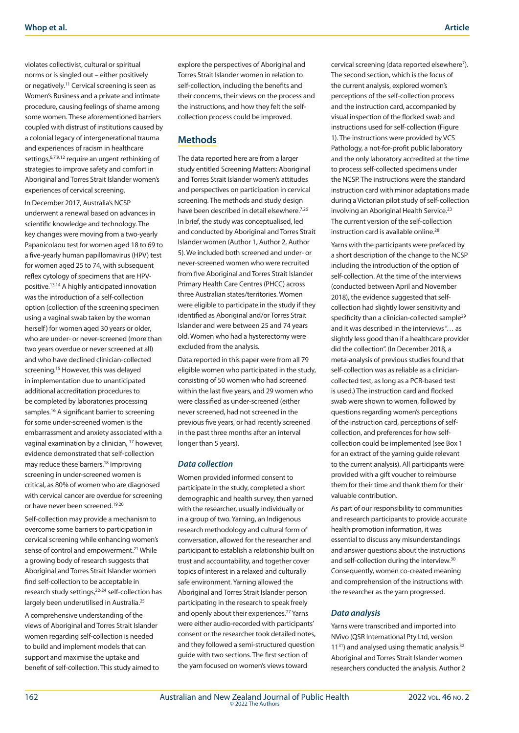violates collectivist, cultural or spiritual norms or is singled out – either positively or negatively.11 Cervical screening is seen as Women's Business and a private and intimate procedure, causing feelings of shame among some women. These aforementioned barriers coupled with distrust of institutions caused by a colonial legacy of intergenerational trauma and experiences of racism in healthcare settings,6,7,9,12 require an urgent rethinking of strategies to improve safety and comfort in Aboriginal and Torres Strait Islander women's experiences of cervical screening.

In December 2017, Australia's NCSP underwent a renewal based on advances in scientific knowledge and technology. The key changes were moving from a two-yearly Papanicolaou test for women aged 18 to 69 to a five-yearly human papillomavirus (HPV) test for women aged 25 to 74, with subsequent reflex cytology of specimens that are HPVpositive.13,14 A highly anticipated innovation was the introduction of a self-collection option (collection of the screening specimen using a vaginal swab taken by the woman herself) for women aged 30 years or older, who are under- or never-screened (more than two years overdue or never screened at all) and who have declined clinician-collected screening.<sup>15</sup> However, this was delayed in implementation due to unanticipated additional accreditation procedures to be completed by laboratories processing samples.<sup>16</sup> A significant barrier to screening for some under-screened women is the embarrassment and anxiety associated with a vaginal examination by a clinician, 17 however, evidence demonstrated that self-collection may reduce these barriers.18 Improving screening in under-screened women is critical, as 80% of women who are diagnosed with cervical cancer are overdue for screening or have never been screened.19,20

Self-collection may provide a mechanism to overcome some barriers to participation in cervical screening while enhancing women's sense of control and empowerment.<sup>21</sup> While a growing body of research suggests that Aboriginal and Torres Strait Islander women find self-collection to be acceptable in research study settings,<sup>22-24</sup> self-collection has largely been underutilised in Australia.<sup>25</sup>

A comprehensive understanding of the views of Aboriginal and Torres Strait Islander women regarding self-collection is needed to build and implement models that can support and maximise the uptake and benefit of self-collection. This study aimed to explore the perspectives of Aboriginal and Torres Strait Islander women in relation to self-collection, including the benefits and their concerns, their views on the process and the instructions, and how they felt the selfcollection process could be improved.

# **Methods**

The data reported here are from a larger study entitled Screening Matters: Aboriginal and Torres Strait Islander women's attitudes and perspectives on participation in cervical screening. The methods and study design have been described in detail elsewhere.<sup>7,26</sup> In brief, the study was conceptualised, led and conducted by Aboriginal and Torres Strait Islander women (Author 1, Author 2, Author 5). We included both screened and under- or never-screened women who were recruited from five Aboriginal and Torres Strait Islander Primary Health Care Centres (PHCC) across three Australian states/territories. Women were eligible to participate in the study if they identified as Aboriginal and/or Torres Strait Islander and were between 25 and 74 years old. Women who had a hysterectomy were excluded from the analysis.

Data reported in this paper were from all 79 eligible women who participated in the study, consisting of 50 women who had screened within the last five years, and 29 women who were classified as under-screened (either never screened, had not screened in the previous five years, or had recently screened in the past three months after an interval longer than 5 years).

#### *Data collection*

Women provided informed consent to participate in the study, completed a short demographic and health survey, then yarned with the researcher, usually individually or in a group of two. Yarning, an Indigenous research methodology and cultural form of conversation, allowed for the researcher and participant to establish a relationship built on trust and accountability, and together cover topics of interest in a relaxed and culturally safe environment. Yarning allowed the Aboriginal and Torres Strait Islander person participating in the research to speak freely and openly about their experiences.<sup>27</sup> Yarns were either audio-recorded with participants' consent or the researcher took detailed notes, and they followed a semi-structured question guide with two sections. The first section of the yarn focused on women's views toward

cervical screening (data reported elsewhere<sup>7</sup>). The second section, which is the focus of the current analysis, explored women's perceptions of the self-collection process and the instruction card, accompanied by visual inspection of the flocked swab and instructions used for self-collection (Figure 1). The instructions were provided by VCS Pathology, a not-for-profit public laboratory and the only laboratory accredited at the time to process self-collected specimens under the NCSP. The instructions were the standard instruction card with minor adaptations made during a Victorian pilot study of self-collection involving an Aboriginal Health Service.<sup>23</sup> The current version of the self-collection instruction card is available online.<sup>28</sup>

Yarns with the participants were prefaced by a short description of the change to the NCSP including the introduction of the option of self-collection. At the time of the interviews (conducted between April and November 2018), the evidence suggested that selfcollection had slightly lower sensitivity and specificity than a clinician-collected sample<sup>29</sup> and it was described in the interviews "… as slightly less good than if a healthcare provider did the collection". (In December 2018, a meta-analysis of previous studies found that self-collection was as reliable as a cliniciancollected test, as long as a PCR-based test is used.) The instruction card and flocked swab were shown to women, followed by questions regarding women's perceptions of the instruction card, perceptions of selfcollection, and preferences for how selfcollection could be implemented (see Box 1 for an extract of the yarning guide relevant to the current analysis). All participants were provided with a gift voucher to reimburse them for their time and thank them for their valuable contribution.

As part of our responsibility to communities and research participants to provide accurate health promotion information, it was essential to discuss any misunderstandings and answer questions about the instructions and self-collection during the interview.30 Consequently, women co-created meaning and comprehension of the instructions with the researcher as the yarn progressed.

#### *Data analysis*

Yarns were transcribed and imported into NVivo (QSR International Pty Ltd, version  $11^{31}$ ) and analysed using thematic analysis.<sup>32</sup> Aboriginal and Torres Strait Islander women researchers conducted the analysis. Author 2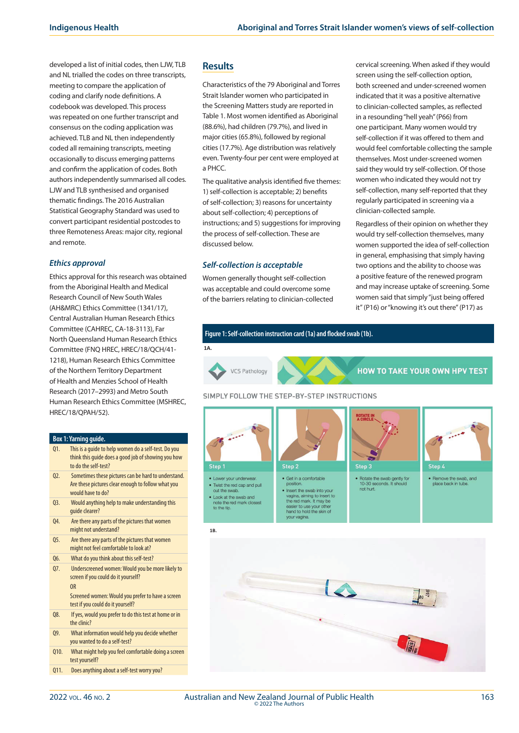developed a list of initial codes, then LJW, TLB and NL trialled the codes on three transcripts, meeting to compare the application of coding and clarify node definitions. A codebook was developed. This process was repeated on one further transcript and consensus on the coding application was achieved. TLB and NL then independently coded all remaining transcripts, meeting occasionally to discuss emerging patterns and confirm the application of codes. Both authors independently summarised all codes. LJW and TLB synthesised and organised thematic findings. The 2016 Australian Statistical Geography Standard was used to convert participant residential postcodes to three Remoteness Areas: major city, regional and remote.

#### *Ethics approval*

Ethics approval for this research was obtained from the Aboriginal Health and Medical Research Council of New South Wales (AH&MRC) Ethics Committee (1341/17), Central Australian Human Research Ethics Committee (CAHREC, CA-18-3113), Far North Queensland Human Research Ethics Committee (FNQ HREC, HREC/18/QCH/41- 1218), Human Research Ethics Committee of the Northern Territory Department of Health and Menzies School of Health Research (2017–2993) and Metro South Human Research Ethics Committee (MSHREC, HREC/18/QPAH/52).

#### **Box 1: Yarning guide.**

- Q1. This is a guide to help women do a self-test. Do you think this guide does a good job of showing you how to do the self-test?
- Q2. Sometimes these pictures can be hard to understand. Are these pictures clear enough to follow what you would have to do?
- Q3. Would anything help to make understanding this guide clearer?
- Q4. Are there any parts of the pictures that women might not understand?
- Q5. Are there any parts of the pictures that women might not feel comfortable to look at?
- Q6. What do you think about this self-test?
- Q7. Underscreened women: Would you be more likely to screen if you could do it yourself? OR
- Screened women: Would you prefer to have a screen test if you could do it yourself?
- Q8. If yes, would you prefer to do this test at home or in the clinic?
- Q9. What information would help you decide whether you wanted to do a self-test?
- Q10. What might help you feel comfortable doing a screen test yourself?
- Q11. Does anything about a self-test worry you?

# **Results**

Characteristics of the 79 Aboriginal and Torres Strait Islander women who participated in the Screening Matters study are reported in Table 1. Most women identified as Aboriginal (88.6%), had children (79.7%), and lived in major cities (65.8%), followed by regional cities (17.7%). Age distribution was relatively even. Twenty-four per cent were employed at a PHCC.

The qualitative analysis identified five themes: 1) self-collection is acceptable; 2) benefits of self-collection; 3) reasons for uncertainty about self-collection; 4) perceptions of instructions; and 5) suggestions for improving the process of self-collection. These are discussed below.

## *Self-collection is acceptable*

• Look at the swab and<br>note the red mark closest<br>to the tip.

Women generally thought self-collection was acceptable and could overcome some of the barriers relating to clinician-collected cervical screening. When asked if they would screen using the self-collection option, both screened and under-screened women indicated that it was a positive alternative to clinician-collected samples, as reflected in a resounding "hell yeah" (P66) from one participant. Many women would try self-collection if it was offered to them and would feel comfortable collecting the sample themselves. Most under-screened women said they would try self-collection. Of those women who indicated they would not try self-collection, many self-reported that they regularly participated in screening via a clinician-collected sample.

Regardless of their opinion on whether they would try self-collection themselves, many women supported the idea of self-collection in general, emphasising that simply having two options and the ability to choose was a positive feature of the renewed program and may increase uptake of screening. Some women said that simply "just being offered it"(P16) or "knowing it's out there"(P17) as





easier to use your other<br>hand to hold the skin of vour vagins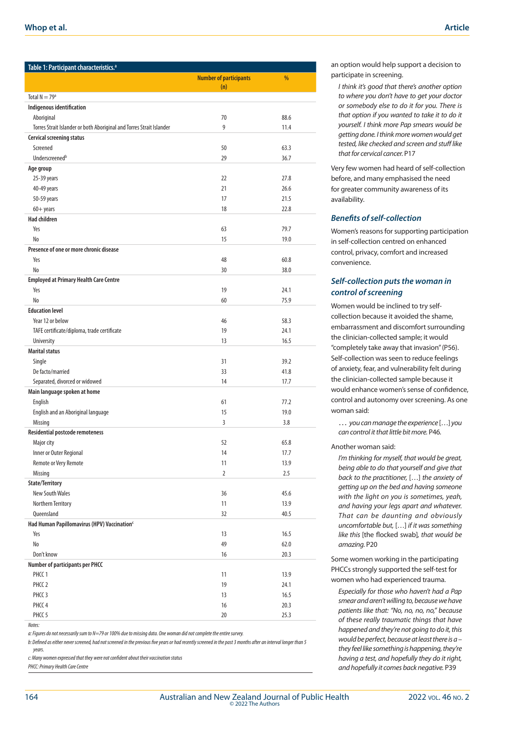| Table 1: Participant characteristics. <sup>a</sup>                   |                               |             |
|----------------------------------------------------------------------|-------------------------------|-------------|
|                                                                      | <b>Number of participants</b> | %           |
|                                                                      | (n)                           |             |
| Total $N = 79a$                                                      |                               |             |
| Indigenous identification                                            |                               |             |
| Aboriginal                                                           | 70                            | 88.6        |
| Torres Strait Islander or both Aboriginal and Torres Strait Islander | 9                             | 11.4        |
| <b>Cervical screening status</b>                                     |                               |             |
| Screened                                                             | 50                            | 63.3        |
| Underscreened <sup>b</sup>                                           | 29                            | 36.7        |
| Age group                                                            |                               |             |
| 25-39 years                                                          | 22                            | 27.8        |
| 40-49 years                                                          | 21                            | 26.6        |
| 50-59 years                                                          | 17                            | 21.5        |
| $60 +$ years                                                         | 18                            | 22.8        |
| <b>Had children</b>                                                  |                               |             |
| Yes                                                                  | 63                            | 79.7        |
| N <sub>0</sub>                                                       | 15                            | 19.0        |
| Presence of one or more chronic disease                              |                               |             |
| Yes                                                                  | 48                            | 60.8        |
| N <sub>0</sub>                                                       | 30                            | 38.0        |
| <b>Employed at Primary Health Care Centre</b>                        |                               |             |
| Yes                                                                  | 19                            | 24.1        |
| No                                                                   | 60                            | 75.9        |
| <b>Education level</b>                                               |                               |             |
| Year 12 or below                                                     | 46                            | 58.3        |
| TAFE certificate/diploma, trade certificate                          | 19                            | 24.1        |
| University                                                           | 13                            | 16.5        |
| <b>Marital status</b>                                                |                               |             |
| Single                                                               | 31                            | 39.2        |
| De facto/married                                                     | 33                            | 41.8        |
| Separated, divorced or widowed                                       | 14                            | 17.7        |
| Main language spoken at home                                         |                               |             |
| English                                                              | 61<br>15                      | 77.2        |
| English and an Aboriginal language<br>Missing                        | 3                             | 19.0<br>3.8 |
| <b>Residential postcode remoteness</b>                               |                               |             |
| Major city                                                           | 52                            | 65.8        |
| Inner or Outer Regional                                              | 14                            | 17.7        |
| Remote or Very Remote                                                | 11                            | 13.9        |
| Missing                                                              | $\overline{2}$                | 2.5         |
| State/Territory                                                      |                               |             |
| <b>New South Wales</b>                                               | 36                            | 45.6        |
| Northern Territory                                                   | 11                            | 13.9        |
| Queensland                                                           | 32                            | 40.5        |
| Had Human Papillomavirus (HPV) Vaccination <sup>c</sup>              |                               |             |
| Yes                                                                  | 13                            | 16.5        |
| No                                                                   | 49                            | 62.0        |
| Don't know                                                           | 16                            | 20.3        |
| <b>Number of participants per PHCC</b>                               |                               |             |
| PHCC <sub>1</sub>                                                    | 11                            | 13.9        |
| PHCC <sub>2</sub>                                                    | 19                            | 24.1        |
| PHCC <sub>3</sub>                                                    | 13                            | 16.5        |
| PHCC <sub>4</sub>                                                    | 16                            | 20.3        |
| PHCC <sub>5</sub>                                                    | 20                            | 25.3        |
| Motor:                                                               |                               |             |

*a: Figures do not necessarily sum to N=79 or 100% due to missing data. One woman did not complete the entire survey.* 

*b: Defined as either never screened, had not screened in the previous five years or had recently screened in the past 3 months after an interval longer than 5 years.*

*c: Many women expressed that they were not confident about their vaccination status*

*PHCC: Primary Health Care Centre*

an option would help support a decision to participate in screening.

*I think it's good that there's another option to where you don't have to get your doctor or somebody else to do it for you. There is that option if you wanted to take it to do it yourself. I think more Pap smears would be getting done. I think more women would get tested, like checked and screen and stuff like that for cervical cancer.* P17

Very few women had heard of self-collection before, and many emphasised the need for greater community awareness of its availability.

#### *Benefits of self-collection*

Women's reasons for supporting participation in self-collection centred on enhanced control, privacy, comfort and increased convenience.

# *Self-collection puts the woman in control of screening*

Women would be inclined to try selfcollection because it avoided the shame, embarrassment and discomfort surrounding the clinician-collected sample; it would "completely take away that invasion" (P56). Self-collection was seen to reduce feelings of anxiety, fear, and vulnerability felt during the clinician-collected sample because it would enhance women's sense of confidence, control and autonomy over screening. As one woman said:

… *you can manage the experience* […] *you can control it that little bit more.* P46*.*

#### Another woman said:

*I'm thinking for myself, that would be great, being able to do that yourself and give that back to the practitioner,* […] *the anxiety of getting up on the bed and having someone with the light on you is sometimes, yeah, and having your legs apart and whatever. That can be daunting and obviously uncomfortable but,* […] *if it was something like this* [the flocked swab]*, that would be amazing.* P20

Some women working in the participating PHCCs strongly supported the self-test for women who had experienced trauma.

*Especially for those who haven't had a Pap smear and aren't willing to, because we have patients like that: "No, no, no, no," because of these really traumatic things that have happened and they're not going to do it, this would be perfect, because at least there is a – they feel like something is happening, they're having a test, and hopefully they do it right, and hopefully it comes back negative.* P39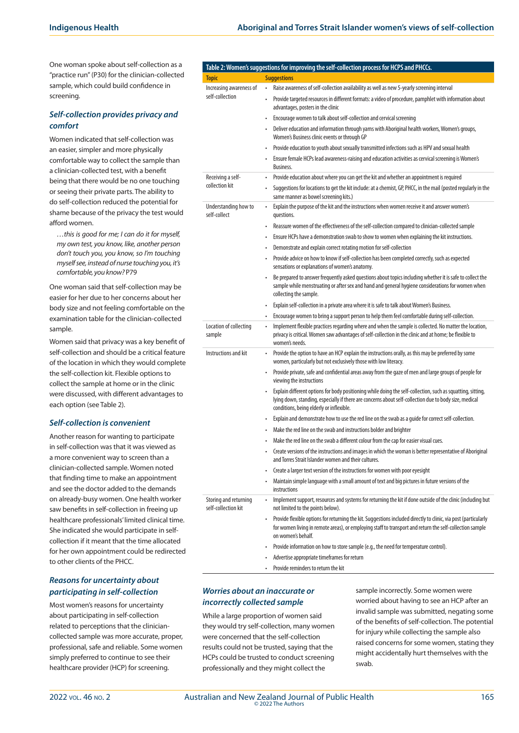One woman spoke about self-collection as a "practice run"(P30) for the clinician-collected sample, which could build confidence in screening.

#### *Self-collection provides privacy and comfort*

Women indicated that self-collection was an easier, simpler and more physically comfortable way to collect the sample than a clinician-collected test, with a benefit being that there would be no one touching or seeing their private parts. The ability to do self-collection reduced the potential for shame because of the privacy the test would afford women.

collection kit

se

sa

*…this is good for me; I can do it for myself, my own test, you know, like, another person don't touch you, you know, so I'm touching myself see, instead of nurse touching you, it's comfortable, you know?* P79

One woman said that self-collection may be easier for her due to her concerns about her body size and not feeling comfortable on the examination table for the clinician-collected sample.

Women said that privacy was a key benefit of self-collection and should be a critical feature of the location in which they would complete the self-collection kit. Flexible options to collect the sample at home or in the clinic were discussed, with different advantages to each option (see Table 2).

#### *Self-collection is convenient*

Another reason for wanting to participate in self-collection was that it was viewed as a more convenient way to screen than a clinician-collected sample. Women noted that finding time to make an appointment and see the doctor added to the demands on already-busy women. One health worker saw benefits in self-collection in freeing up healthcare professionals' limited clinical time. She indicated she would participate in selfcollection if it meant that the time allocated for her own appointment could be redirected to other clients of the PHCC.

## *Reasons for uncertainty about participating in self-collection*

Most women's reasons for uncertainty about participating in self-collection related to perceptions that the cliniciancollected sample was more accurate, proper, professional, safe and reliable. Some women simply preferred to continue to see their healthcare provider (HCP) for screening.

# **Table 2: Women's suggestions for improving the self-collection process for HCPS and PHCCs.**

|                                              | Table 2. Women's suggestions for improving the sen-conection process for rice's and rifices.                                                                                                                                                                      |
|----------------------------------------------|-------------------------------------------------------------------------------------------------------------------------------------------------------------------------------------------------------------------------------------------------------------------|
| <b>Topic</b>                                 | <b>Suggestions</b>                                                                                                                                                                                                                                                |
| Increasing awareness of<br>self-collection   | Raise awareness of self-collection availability as well as new 5-yearly screening interval<br>٠                                                                                                                                                                   |
|                                              | Provide targeted resources in different formats: a video of procedure, pamphlet with information about<br>advantages, posters in the clinic                                                                                                                       |
|                                              | Encourage women to talk about self-collection and cervical screening                                                                                                                                                                                              |
|                                              | Deliver education and information through yarns with Aboriginal health workers, Women's groups,<br>$\bullet$<br>Women's Business clinic events or through GP                                                                                                      |
|                                              | Provide education to youth about sexually transmitted infections such as HPV and sexual health<br>$\bullet$                                                                                                                                                       |
|                                              | Ensure female HCPs lead awareness-raising and education activities as cervical screening is Women's<br>Business.                                                                                                                                                  |
| Receiving a self-<br>collection kit          | Provide education about where you can get the kit and whether an appointment is required                                                                                                                                                                          |
|                                              | Suggestions for locations to get the kit include: at a chemist, GP, PHCC, in the mail (posted regularly in the<br>same manner as bowel screening kits.)                                                                                                           |
| Understanding how to<br>self-collect         | Explain the purpose of the kit and the instructions when women receive it and answer women's<br>$\bullet$<br>questions.                                                                                                                                           |
|                                              | Reassure women of the effectiveness of the self-collection compared to clinician-collected sample<br>$\bullet$                                                                                                                                                    |
|                                              | Ensure HCPs have a demonstration swab to show to women when explaining the kit instructions.<br>٠                                                                                                                                                                 |
|                                              | Demonstrate and explain correct rotating motion for self-collection<br>٠                                                                                                                                                                                          |
|                                              | Provide advice on how to know if self-collection has been completed correctly, such as expected<br>sensations or explanations of women's anatomy.                                                                                                                 |
|                                              | Be prepared to answer frequently asked questions about topics including whether it is safe to collect the<br>sample while menstruating or after sex and hand and general hygiene considerations for women when<br>collecting the sample.                          |
|                                              | Explain self-collection in a private area where it is safe to talk about Women's Business.<br>$\bullet$                                                                                                                                                           |
|                                              | Encourage women to bring a support person to help them feel comfortable during self-collection.<br>$\bullet$                                                                                                                                                      |
| Location of collecting<br>sample             | Implement flexible practices regarding where and when the sample is collected. No matter the location,<br>$\bullet$<br>privacy is critical. Women saw advantages of self-collection in the clinic and at home; be flexible to<br>women's needs.                   |
| Instructions and kit                         | Provide the option to have an HCP explain the instructions orally, as this may be preferred by some<br>$\bullet$<br>women, particularly but not exclusively those with low literacy.                                                                              |
|                                              | Provide private, safe and confidential areas away from the gaze of men and large groups of people for<br>$\bullet$<br>viewing the instructions                                                                                                                    |
|                                              | Explain different options for body positioning while doing the self-collection, such as squatting, sitting,<br>lying down, standing, especially if there are concerns about self-collection due to body size, medical<br>conditions, being elderly or inflexible. |
|                                              | Explain and demonstrate how to use the red line on the swab as a guide for correct self-collection.<br>$\bullet$                                                                                                                                                  |
|                                              | Make the red line on the swab and instructions bolder and brighter<br>٠                                                                                                                                                                                           |
|                                              | Make the red line on the swab a different colour from the cap for easier visual cues.                                                                                                                                                                             |
|                                              | Create versions of the instructions and images in which the woman is better representative of Aboriginal<br>and Torres Strait Islander women and their cultures.                                                                                                  |
|                                              | Create a larger text version of the instructions for women with poor eyesight<br>٠                                                                                                                                                                                |
|                                              | Maintain simple language with a small amount of text and big pictures in future versions of the<br>$\bullet$<br>instructions                                                                                                                                      |
| Storing and returning<br>self-collection kit | Implement support, resources and systems for returning the kit if done outside of the clinic (including but<br>÷.<br>not limited to the points below).                                                                                                            |
|                                              | Provide flexible options for returning the kit. Suggestions included directly to clinic, via post (particularly<br>$\bullet$<br>for women living in remote areas), or employing staff to transport and return the self-collection sample<br>on women's behalf.    |
|                                              | Provide information on how to store sample (e.g., the need for temperature control).<br>$\bullet$                                                                                                                                                                 |
|                                              | Advertise appropriate timeframes for return<br>$\bullet$                                                                                                                                                                                                          |
|                                              | Provide reminders to return the kit<br>$\bullet$                                                                                                                                                                                                                  |

## *Worries about an inaccurate or incorrectly collected sample*

While a large proportion of women said they would try self-collection, many women were concerned that the self-collection results could not be trusted, saying that the HCPs could be trusted to conduct screening professionally and they might collect the

sample incorrectly. Some women were worried about having to see an HCP after an invalid sample was submitted, negating some of the benefits of self-collection. The potential for injury while collecting the sample also raised concerns for some women, stating they might accidentally hurt themselves with the swab.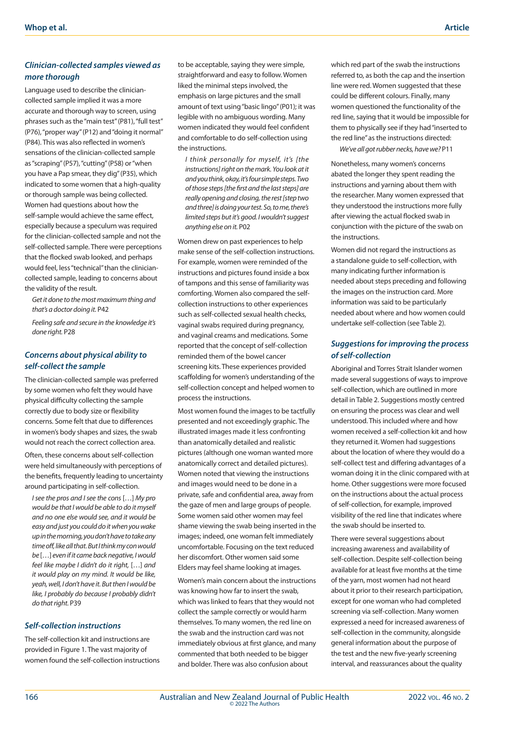# *Clinician-collected samples viewed as more thorough*

Language used to describe the cliniciancollected sample implied it was a more accurate and thorough way to screen, using phrases such as the "main test" (P81), "full test" (P76), "proper way" (P12) and "doing it normal" (P84). This was also reflected in women's sensations of the clinician-collected sample as "scraping" (P57), "cutting" (P58) or "when you have a Pap smear, they dig" (P35), which indicated to some women that a high-quality or thorough sample was being collected. Women had questions about how the self-sample would achieve the same effect, especially because a speculum was required for the clinician-collected sample and not the self-collected sample. There were perceptions that the flocked swab looked, and perhaps would feel, less "technical" than the cliniciancollected sample, leading to concerns about the validity of the result.

*Get it done to the most maximum thing and that's a doctor doing it.* P42

*Feeling safe and secure in the knowledge it's done right.* P28

# *Concerns about physical ability to self-collect the sample*

The clinician-collected sample was preferred by some women who felt they would have physical difficulty collecting the sample correctly due to body size or flexibility concerns. Some felt that due to differences in women's body shapes and sizes, the swab would not reach the correct collection area.

Often, these concerns about self-collection were held simultaneously with perceptions of the benefits, frequently leading to uncertainty around participating in self-collection.

*I see the pros and I see the cons* […] *My pro would be that I would be able to do it myself and no one else would see, and it would be easy and just you could do it when you wake up in the morning, you don't have to take any time off, like all that. But I think my con would be* […] *even if it came back negative, I would feel like maybe I didn't do it right,* […] *and it would play on my mind. It would be like, yeah, well, I don't have it. But then I would be like, I probably do because I probably didn't do that right.* P39

#### *Self-collection instructions*

The self-collection kit and instructions are provided in Figure 1. The vast majority of women found the self-collection instructions to be acceptable, saying they were simple, straightforward and easy to follow. Women liked the minimal steps involved, the emphasis on large pictures and the small amount of text using "basic lingo" (P01); it was legible with no ambiguous wording. Many women indicated they would feel confident and comfortable to do self-collection using the instructions.

*I think personally for myself, it's [the instructions] right on the mark. You look at it and you think, okay, it's four simple steps. Two of those steps [the first and the last steps] are really opening and closing, the rest [step two and three] is doing your test. So, to me, there's limited steps but it's good. I wouldn't suggest anything else on it.* P02

Women drew on past experiences to help make sense of the self-collection instructions. For example, women were reminded of the instructions and pictures found inside a box of tampons and this sense of familiarity was comforting. Women also compared the selfcollection instructions to other experiences such as self-collected sexual health checks, vaginal swabs required during pregnancy, and vaginal creams and medications. Some reported that the concept of self-collection reminded them of the bowel cancer screening kits. These experiences provided scaffolding for women's understanding of the self-collection concept and helped women to process the instructions.

Most women found the images to be tactfully presented and not exceedingly graphic. The illustrated images made it less confronting than anatomically detailed and realistic pictures (although one woman wanted more anatomically correct and detailed pictures). Women noted that viewing the instructions and images would need to be done in a private, safe and confidential area, away from the gaze of men and large groups of people. Some women said other women may feel shame viewing the swab being inserted in the images; indeed, one woman felt immediately uncomfortable. Focusing on the text reduced her discomfort. Other women said some Elders may feel shame looking at images. Women's main concern about the instructions was knowing how far to insert the swab, which was linked to fears that they would not collect the sample correctly or would harm themselves. To many women, the red line on the swab and the instruction card was not immediately obvious at first glance, and many commented that both needed to be bigger and bolder. There was also confusion about

which red part of the swab the instructions referred to, as both the cap and the insertion line were red. Women suggested that these could be different colours. Finally, many women questioned the functionality of the red line, saying that it would be impossible for them to physically see if they had "inserted to the red line" as the instructions directed:

 *We've all got rubber necks, have we?* P11

Nonetheless, many women's concerns abated the longer they spent reading the instructions and yarning about them with the researcher. Many women expressed that they understood the instructions more fully after viewing the actual flocked swab in conjunction with the picture of the swab on the instructions.

Women did not regard the instructions as a standalone guide to self-collection, with many indicating further information is needed about steps preceding and following the images on the instruction card. More information was said to be particularly needed about where and how women could undertake self-collection (see Table 2).

# *Suggestions for improving the process of self-collection*

Aboriginal and Torres Strait Islander women made several suggestions of ways to improve self-collection, which are outlined in more detail in Table 2. Suggestions mostly centred on ensuring the process was clear and well understood. This included where and how women received a self-collection kit and how they returned it. Women had suggestions about the location of where they would do a self-collect test and differing advantages of a woman doing it in the clinic compared with at home. Other suggestions were more focused on the instructions about the actual process of self-collection, for example, improved visibility of the red line that indicates where the swab should be inserted to.

There were several suggestions about increasing awareness and availability of self-collection. Despite self-collection being available for at least five months at the time of the yarn, most women had not heard about it prior to their research participation, except for one woman who had completed screening via self-collection. Many women expressed a need for increased awareness of self-collection in the community, alongside general information about the purpose of the test and the new five-yearly screening interval, and reassurances about the quality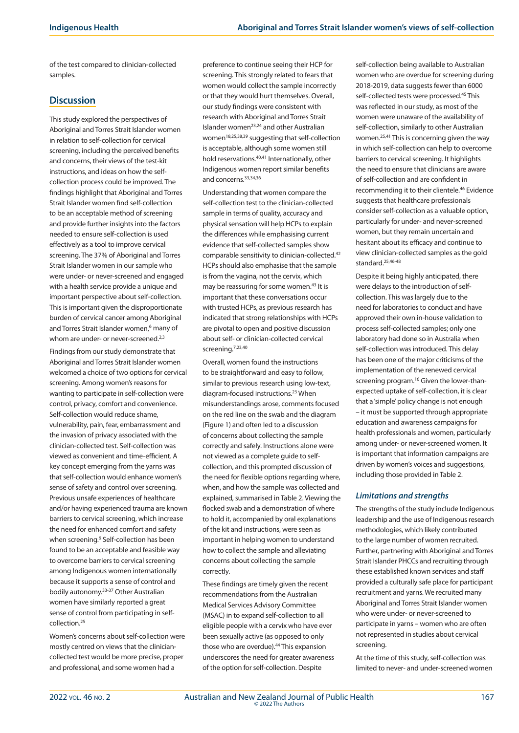of the test compared to clinician-collected samples.

# **Discussion**

This study explored the perspectives of Aboriginal and Torres Strait Islander women in relation to self-collection for cervical screening, including the perceived benefits and concerns, their views of the test-kit instructions, and ideas on how the selfcollection process could be improved. The findings highlight that Aboriginal and Torres Strait Islander women find self-collection to be an acceptable method of screening and provide further insights into the factors needed to ensure self-collection is used effectively as a tool to improve cervical screening. The 37% of Aboriginal and Torres Strait Islander women in our sample who were under- or never-screened and engaged with a health service provide a unique and important perspective about self-collection. This is important given the disproportionate burden of cervical cancer among Aboriginal and Torres Strait Islander women,<sup>6</sup> many of whom are under- or never-screened.<sup>2,3</sup>

Findings from our study demonstrate that Aboriginal and Torres Strait Islander women welcomed a choice of two options for cervical screening. Among women's reasons for wanting to participate in self-collection were control, privacy, comfort and convenience. Self-collection would reduce shame, vulnerability, pain, fear, embarrassment and the invasion of privacy associated with the clinician-collected test. Self-collection was viewed as convenient and time-efficient. A key concept emerging from the yarns was that self-collection would enhance women's sense of safety and control over screening. Previous unsafe experiences of healthcare and/or having experienced trauma are known barriers to cervical screening, which increase the need for enhanced comfort and safety when screening.<sup>6</sup> Self-collection has been found to be an acceptable and feasible way to overcome barriers to cervical screening among Indigenous women internationally because it supports a sense of control and bodily autonomy.33-37 Other Australian women have similarly reported a great sense of control from participating in selfcollection.25

Women's concerns about self-collection were mostly centred on views that the cliniciancollected test would be more precise, proper and professional, and some women had a

preference to continue seeing their HCP for screening. This strongly related to fears that women would collect the sample incorrectly or that they would hurt themselves. Overall, our study findings were consistent with research with Aboriginal and Torres Strait Islander women23,24 and other Australian women18,25,38,39 suggesting that self-collection is acceptable, although some women still hold reservations.40,41 Internationally, other Indigenous women report similar benefits and concerns.33,34,36

Understanding that women compare the self-collection test to the clinician-collected sample in terms of quality, accuracy and physical sensation will help HCPs to explain the differences while emphasising current evidence that self-collected samples show comparable sensitivity to clinician-collected.42 HCPs should also emphasise that the sample is from the vagina, not the cervix, which may be reassuring for some women.<sup>43</sup> It is important that these conversations occur with trusted HCPs, as previous research has indicated that strong relationships with HCPs are pivotal to open and positive discussion about self- or clinician-collected cervical screening.<sup>7,23,40</sup>

Overall, women found the instructions to be straightforward and easy to follow, similar to previous research using low-text, diagram-focused instructions.23 When misunderstandings arose, comments focused on the red line on the swab and the diagram (Figure 1) and often led to a discussion of concerns about collecting the sample correctly and safely. Instructions alone were not viewed as a complete guide to selfcollection, and this prompted discussion of the need for flexible options regarding where, when, and how the sample was collected and explained, summarised in Table 2. Viewing the flocked swab and a demonstration of where to hold it, accompanied by oral explanations of the kit and instructions, were seen as important in helping women to understand how to collect the sample and alleviating concerns about collecting the sample correctly.

These findings are timely given the recent recommendations from the Australian Medical Services Advisory Committee (MSAC) in to expand self-collection to all eligible people with a cervix who have ever been sexually active (as opposed to only those who are overdue).<sup>44</sup> This expansion underscores the need for greater awareness of the option for self-collection. Despite

self-collection being available to Australian women who are overdue for screening during 2018-2019, data suggests fewer than 6000 self-collected tests were processed.<sup>45</sup> This was reflected in our study, as most of the women were unaware of the availability of self-collection, similarly to other Australian women.25,41 This is concerning given the way in which self-collection can help to overcome barriers to cervical screening. It highlights the need to ensure that clinicians are aware of self-collection and are confident in recommending it to their clientele.46 Evidence suggests that healthcare professionals consider self-collection as a valuable option, particularly for under- and never-screened women, but they remain uncertain and hesitant about its efficacy and continue to view clinician-collected samples as the gold standard.25,46-48

Despite it being highly anticipated, there were delays to the introduction of selfcollection. This was largely due to the need for laboratories to conduct and have approved their own in-house validation to process self-collected samples; only one laboratory had done so in Australia when self-collection was introduced. This delay has been one of the major criticisms of the implementation of the renewed cervical screening program.<sup>16</sup> Given the lower-thanexpected uptake of self-collection, it is clear that a 'simple' policy change is not enough – it must be supported through appropriate education and awareness campaigns for health professionals and women, particularly among under- or never-screened women. It is important that information campaigns are driven by women's voices and suggestions, including those provided in Table 2.

# *Limitations and strengths*

The strengths of the study include Indigenous leadership and the use of Indigenous research methodologies, which likely contributed to the large number of women recruited. Further, partnering with Aboriginal and Torres Strait Islander PHCCs and recruiting through these established known services and staff provided a culturally safe place for participant recruitment and yarns. We recruited many Aboriginal and Torres Strait Islander women who were under- or never-screened to participate in yarns – women who are often not represented in studies about cervical screening.

At the time of this study, self-collection was limited to never- and under-screened women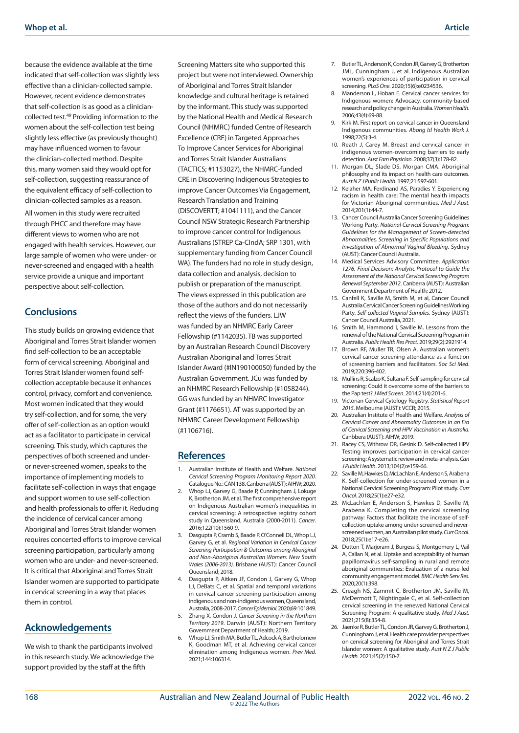because the evidence available at the time indicated that self-collection was slightly less effective than a clinician-collected sample. However, recent evidence demonstrates that self-collection is as good as a cliniciancollected test.49 Providing information to the women about the self-collection test being slightly less effective (as previously thought) may have influenced women to favour the clinician-collected method. Despite this, many women said they would opt for self-collection, suggesting reassurance of the equivalent efficacy of self-collection to clinician-collected samples as a reason.

All women in this study were recruited through PHCC and therefore may have different views to women who are not engaged with health services. However, our large sample of women who were under- or never-screened and engaged with a health service provide a unique and important perspective about self-collection.

## **Conclusions**

This study builds on growing evidence that Aboriginal and Torres Strait Islander women find self-collection to be an acceptable form of cervical screening. Aboriginal and Torres Strait Islander women found selfcollection acceptable because it enhances control, privacy, comfort and convenience. Most women indicated that they would try self-collection, and for some, the very offer of self-collection as an option would act as a facilitator to participate in cervical screening. This study, which captures the perspectives of both screened and underor never-screened women, speaks to the importance of implementing models to facilitate self-collection in ways that engage and support women to use self-collection and health professionals to offer it. Reducing the incidence of cervical cancer among Aboriginal and Torres Strait Islander women requires concerted efforts to improve cervical screening participation, particularly among women who are under- and never-screened. It is critical that Aboriginal and Torres Strait Islander women are supported to participate in cervical screening in a way that places them in control.

#### **Acknowledgements**

We wish to thank the participants involved in this research study. We acknowledge the support provided by the staff at the fifth

Screening Matters site who supported this project but were not interviewed. Ownership of Aboriginal and Torres Strait Islander knowledge and cultural heritage is retained by the informant. This study was supported by the National Health and Medical Research Council (NHMRC) funded Centre of Research Excellence (CRE) in Targeted Approaches To Improve Cancer Services for Aboriginal and Torres Strait Islander Australians (TACTICS; #1153027), the NHMRC-funded CRE in Discovering Indigenous Strategies to improve Cancer Outcomes Via Engagement, Research Translation and Training (DISCOVERTT; #1041111), and the Cancer Council NSW Strategic Research Partnership to improve cancer control for Indigenous Australians (STREP Ca-CIndA; SRP 1301, with supplementary funding from Cancer Council WA). The funders had no role in study design, data collection and analysis, decision to publish or preparation of the manuscript. The views expressed in this publication are those of the authors and do not necessarily reflect the views of the funders. LJW was funded by an NHMRC Early Career Fellowship (#1142035). TB was supported by an Australian Research Council Discovery Australian Aboriginal and Torres Strait Islander Award (#IN190100050) funded by the Australian Government. JCu was funded by an NHMRC Research Fellowship (#1058244). GG was funded by an NHMRC Investigator Grant (#1176651). AT was supported by an NHMRC Career Development Fellowship (#1106716).

#### **References**

- 1. Australian Institute of Health and Welfare. *National Cervical Screening Program Monitoring Report 2020*. Catalogue No.: CAN 138. Canberra (AUST): AIHW; 2020.
- 2. Whop LJ, Garvey G, Baade P, Cunningham J, Lokuge K, Brotherton JM, et al. The first comprehensive report on Indigenous Australian women's inequalities in cervical screening: A retrospective registry cohort study in Queensland, Australia (2000-2011). *Cancer*. 2016;122(10):1560-9.
- 3. Dasgupta P, Cramb S, Baade P, O'Connell DL, Whop LJ, Garvey G, et al. *Regional Variation in Cervical Cancer Screening Participation & Outcomes among Aboriginal and Non-Aboriginal Australian Women: New South Wales (2006-2013)*. Brisbane (AUST): Cancer Council Queensland; 2018.
- 4. Dasgupta P, Aitken JF, Condon J, Garvey G, Whop LJ, DeBats C, et al. Spatial and temporal variations in cervical cancer screening participation among indigenous and non-indigenous women, Queensland, Australia, 2008-2017. *Cancer Epidemiol*. 2020;69:101849.
- 5. Zhang X, Condon J. *Cancer Screening in the Northern Territory 2019*. Darwin (AUST): Northern Territory Government Department of Health; 2019.
- Whop LJ, Smith MA, Butler TL, Adcock A, Bartholomew K, Goodman MT, et al. Achieving cervical cancer elimination among Indigenous women. *Prev Med*. 2021;144:106314.
- 7. Butler TL, Anderson K, Condon JR, Garvey G, Brotherton JML, Cunningham J, et al. Indigenous Australian women's experiences of participation in cervical screening. *PLoS One*. 2020;15(6):e0234536.
- 8. Manderson L, Hoban E. Cervical cancer services for Indigenous women: Advocacy, community-based research and policy change in Australia. *Women Health*. 2006;43(4):69-88.
- 9. Kirk M. First report on cervical cancer in Queensland Indigenous communities. *Aborig Isl Health Work J*. 1998;22(5):3-4.
- 10. Reath J, Carey M. Breast and cervical cancer in indigenous women-overcoming barriers to early detection. *Aust Fam Physician*. 2008;37(3):178-82.
- 11. Morgan DL, Slade DS, Morgan CMA. Aboriginal philosophy and its impact on health care outcomes. *Aust N Z J Public Health*. 1997;21:597-601.
- 12. Kelaher MA, Ferdinand AS, Paradies Y. Experiencing racism in health care: The mental health impacts for Victorian Aboriginal communities. *Med J Aust*. 2014;201(1):44-7.
- 13. Cancer Council Australia Cancer Screening Guidelines Working Party*. National Cervical Screening Program: Guidelines for the Management of Screen-detected Abnormalities, Screening in Specific Populations and Investigation of Abnormal Vaginal Bleeding*. Sydney (AUST): Cancer Council Australia.
- 14. Medical Services Advisory Committee. *Application 1276. Final Decision: Analytic Protocol to Guide the Assessment of the National Cervical Screening Program Renewal September 2012*. Canberra (AUST): Australian Government Department of Health; 2012.
- 15. Canfell K, Saville M, Smith M, et al, Cancer Council Australia Cervical Cancer Screening Guidelines Working Party. *Self-collected Vaginal Samples*. Sydney (AUST): Cancer Council Australia, 2021.
- 16. Smith M, Hammond I, Saville M. Lessons from the renewal of the National Cervical Screening Program in Australia. *Public Health Res Pract*. 2019;29(2):2921914.
- 17. Brown RF, Muller TR, Olsen A. Australian women's cervical cancer screening attendance as a function of screening barriers and facilitators. *Soc Sci Med*. 2019;220:396-402.
- 18. Mullins R, Scalzo K, Sultana F. Self-sampling for cervical screening: Could it overcome some of the barriers to the Pap test? *J Med Screen*. 2014;21(4):201-6.
- 19. Victorian Cervical Cytology Registry. *Statistical Report 2015*. Melbourne (AUST): VCCR; 2015.
- 20. Australian Institute of Health and Welfare. *Analysis of Cervical Cancer and Abnormality Outcomes in an Era of Cervical Screening and HPV Vaccination in Australia*. Canbbera (AUST): AIHW; 2019.
- 21. Racey CS, Withrow DR, Gesink D. Self-collected HPV Testing improves participation in cervical cancer screening: A systematic review and meta-analysis. *Can J Public Health*. 2013;104(2):e159-66.
- 22. Saville M, Hawkes D, McLachlan E, Anderson S, Arabena K. Self-collection for under-screened women in a National Cervical Screening Program: Pilot study. *Curr Oncol*. 2018;25(1):e27-e32.
- 23. McLachlan E, Anderson S, Hawkes D, Saville M, Arabena K. Completing the cervical screening pathway: Factors that facilitate the increase of selfcollection uptake among under-screened and neverscreened women, an Australian pilot study. *Curr Oncol*. 2018;25(1):e17-e26.
- 24. Dutton T, Marjoram J, Burgess S, Montgomery L, Vail A, Callan N, et al. Uptake and acceptability of human papillomavirus self-sampling in rural and remote aboriginal communities: Evaluation of a nurse-led community engagement model. *BMC Health Serv Res*. 2020;20(1):398.
- 25. Creagh NS, Zammit C, Brotherton JM, Saville M, McDermott T, Nightingale C, et al. Self-collection cervical screening in the renewed National Cervical Screening Program: A qualitative study. *Med J Aust.*  2021;215(8):354-8.
- 26. Jaenke R, Butler TL, Condon JR, Garvey G, Brotherton J, Cunningham J, et al. Health care provider perspectives on cervical screening for Aboriginal and Torres Strait Islander women: A qualitative study. *Aust N Z J Public Health.* 2021;45(2):150-7.